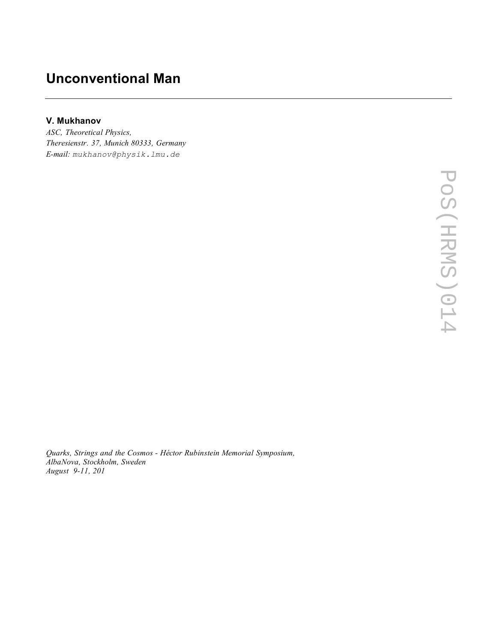## **Unconventional Man**

## **V. Mukhanov**

*ASC, Theoretical Physics, Theresienstr. 37, Munich 80333, Germany E-mail: mukhanov@physik.lmu.de*

*Quarks, Strings and the Cosmos - Héctor Rubinstein Memorial Symposium, AlbaNova, Stockholm, Sweden August 9-11, 201*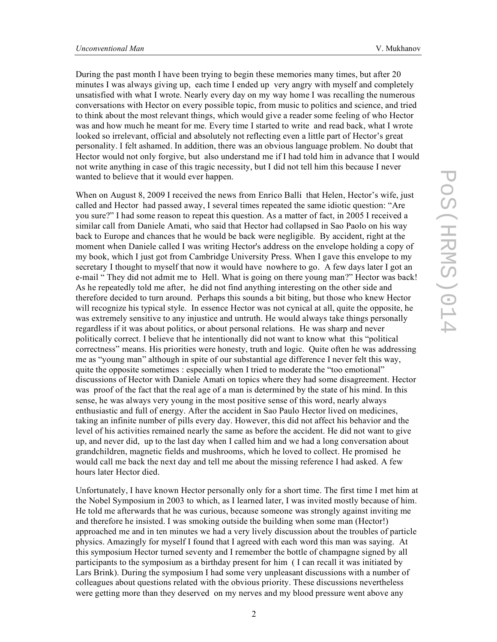During the past month I have been trying to begin these memories many times, but after 20 minutes I was always giving up, each time I ended up very angry with myself and completely unsatisfied with what I wrote. Nearly every day on my way home I was recalling the numerous conversations with Hector on every possible topic, from music to politics and science, and tried to think about the most relevant things, which would give a reader some feeling of who Hector was and how much he meant for me. Every time I started to write and read back, what I wrote looked so irrelevant, official and absolutely not reflecting even a little part of Hector's great personality. I felt ashamed. In addition, there was an obvious language problem. No doubt that Hector would not only forgive, but also understand me if I had told him in advance that I would not write anything in case of this tragic necessity, but I did not tell him this because I never wanted to believe that it would ever happen.

When on August 8, 2009 I received the news from Enrico Balli that Helen, Hector's wife, just called and Hector had passed away, I several times repeated the same idiotic question: "Are you sure?" I had some reason to repeat this question. As a matter of fact, in 2005 I received a similar call from Daniele Amati, who said that Hector had collapsed in Sao Paolo on his way back to Europe and chances that he would be back were negligible. By accident, right at the moment when Daniele called I was writing Hector's address on the envelope holding a copy of my book, which I just got from Cambridge University Press. When I gave this envelope to my secretary I thought to myself that now it would have nowhere to go. A few days later I got an e-mail " They did not admit me to Hell. What is going on there young man?" Hector was back! As he repeatedly told me after, he did not find anything interesting on the other side and therefore decided to turn around. Perhaps this sounds a bit biting, but those who knew Hector will recognize his typical style. In essence Hector was not cynical at all, quite the opposite, he was extremely sensitive to any injustice and untruth. He would always take things personally regardless if it was about politics, or about personal relations. He was sharp and never politically correct. I believe that he intentionally did not want to know what this "political correctness" means. His priorities were honesty, truth and logic. Quite often he was addressing me as "young man" although in spite of our substantial age difference I never felt this way, quite the opposite sometimes : especially when I tried to moderate the "too emotional" discussions of Hector with Daniele Amati on topics where they had some disagreement. Hector was proof of the fact that the real age of a man is determined by the state of his mind. In this sense, he was always very young in the most positive sense of this word, nearly always enthusiastic and full of energy. After the accident in Sao Paulo Hector lived on medicines, taking an infinite number of pills every day. However, this did not affect his behavior and the level of his activities remained nearly the same as before the accident. He did not want to give up, and never did, up to the last day when I called him and we had a long conversation about grandchildren, magnetic fields and mushrooms, which he loved to collect. He promised he would call me back the next day and tell me about the missing reference I had asked. A few hours later Hector died.

Unfortunately, I have known Hector personally only for a short time. The first time I met him at the Nobel Symposium in 2003 to which, as I learned later, I was invited mostly because of him. He told me afterwards that he was curious, because someone was strongly against inviting me and therefore he insisted. I was smoking outside the building when some man (Hector!) approached me and in ten minutes we had a very lively discussion about the troubles of particle physics. Amazingly for myself I found that I agreed with each word this man was saying. At this symposium Hector turned seventy and I remember the bottle of champagne signed by all participants to the symposium as a birthday present for him ( I can recall it was initiated by Lars Brink). During the symposium I had some very unpleasant discussions with a number of colleagues about questions related with the obvious priority. These discussions nevertheless were getting more than they deserved on my nerves and my blood pressure went above any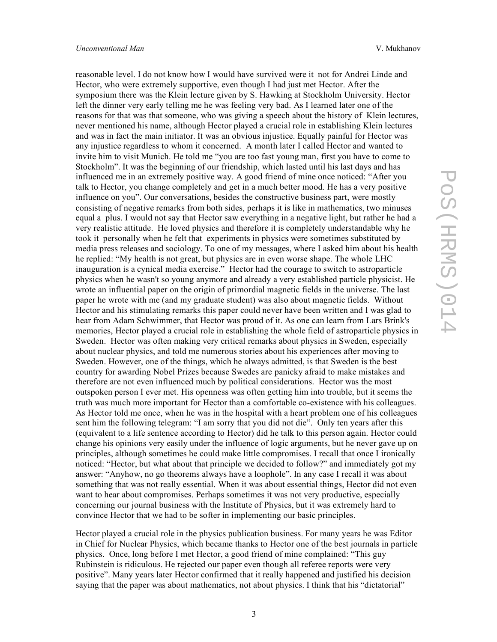Hector, who were extremely supportive, even though I had just met Hector. After the symposium there was the Klein lecture given by S. Hawking at Stockholm University. Hector left the dinner very early telling me he was feeling very bad. As I learned later one of the reasons for that was that someone, who was giving a speech about the history of Klein lectures, never mentioned his name, although Hector played a crucial role in establishing Klein lectures and was in fact the main initiator. It was an obvious injustice. Equally painful for Hector was any injustice regardless to whom it concerned. A month later I called Hector and wanted to invite him to visit Munich. He told me "you are too fast young man, first you have to come to Stockholm". It was the beginning of our friendship, which lasted until his last days and has influenced me in an extremely positive way. A good friend of mine once noticed: "After you talk to Hector, you change completely and get in a much better mood. He has a very positive influence on you". Our conversations, besides the constructive business part, were mostly consisting of negative remarks from both sides, perhaps it is like in mathematics, two minuses equal a plus. I would not say that Hector saw everything in a negative light, but rather he had a very realistic attitude. He loved physics and therefore it is completely understandable why he took it personally when he felt that experiments in physics were sometimes substituted by media press releases and sociology. To one of my messages, where I asked him about his health he replied: "My health is not great, but physics are in even worse shape. The whole LHC inauguration is a cynical media exercise." Hector had the courage to switch to astroparticle physics when he wasn't so young anymore and already a very established particle physicist. He wrote an influential paper on the origin of primordial magnetic fields in the universe. The last paper he wrote with me (and my graduate student) was also about magnetic fields. Without Hector and his stimulating remarks this paper could never have been written and I was glad to hear from Adam Schwimmer, that Hector was proud of it. As one can learn from Lars Brink's memories, Hector played a crucial role in establishing the whole field of astroparticle physics in Sweden. Hector was often making very critical remarks about physics in Sweden, especially about nuclear physics, and told me numerous stories about his experiences after moving to Sweden. However, one of the things, which he always admitted, is that Sweden is the best country for awarding Nobel Prizes because Swedes are panicky afraid to make mistakes and therefore are not even influenced much by political considerations. Hector was the most outspoken person I ever met. His openness was often getting him into trouble, but it seems the truth was much more important for Hector than a comfortable co-existence with his colleagues. As Hector told me once, when he was in the hospital with a heart problem one of his colleagues sent him the following telegram: "I am sorry that you did not die". Only ten years after this (equivalent to a life sentence according to Hector) did he talk to this person again. Hector could change his opinions very easily under the influence of logic arguments, but he never gave up on principles, although sometimes he could make little compromises. I recall that once I ironically noticed: "Hector, but what about that principle we decided to follow?" and immediately got my answer: "Anyhow, no go theorems always have a loophole". In any case I recall it was about something that was not really essential. When it was about essential things, Hector did not even want to hear about compromises. Perhaps sometimes it was not very productive, especially concerning our journal business with the Institute of Physics, but it was extremely hard to convince Hector that we had to be softer in implementing our basic principles.

reasonable level. I do not know how I would have survived were it not for Andrei Linde and

Hector played a crucial role in the physics publication business. For many years he was Editor in Chief for Nuclear Physics, which became thanks to Hector one of the best journals in particle physics. Once, long before I met Hector, a good friend of mine complained: "This guy Rubinstein is ridiculous. He rejected our paper even though all referee reports were very positive". Many years later Hector confirmed that it really happened and justified his decision saying that the paper was about mathematics, not about physics. I think that his "dictatorial"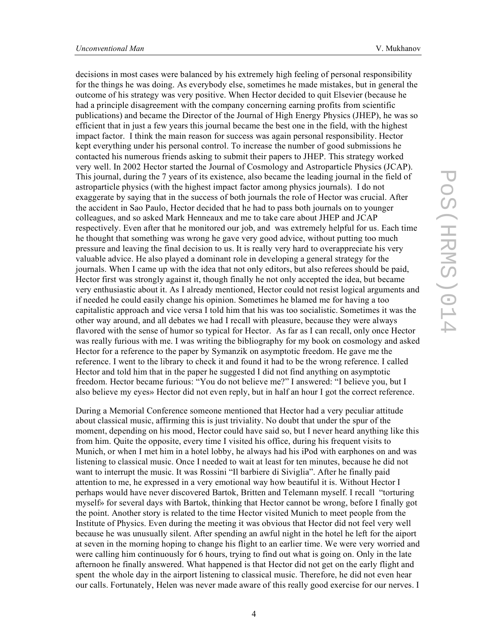decisions in most cases were balanced by his extremely high feeling of personal responsibility for the things he was doing. As everybody else, sometimes he made mistakes, but in general the outcome of his strategy was very positive. When Hector decided to quit Elsevier (because he had a principle disagreement with the company concerning earning profits from scientific publications) and became the Director of the Journal of High Energy Physics (JHEP), he was so efficient that in just a few years this journal became the best one in the field, with the highest impact factor. I think the main reason for success was again personal responsibility. Hector kept everything under his personal control. To increase the number of good submissions he contacted his numerous friends asking to submit their papers to JHEP. This strategy worked very well. In 2002 Hector started the Journal of Cosmology and Astroparticle Physics (JCAP). This journal, during the 7 years of its existence, also became the leading journal in the field of astroparticle physics (with the highest impact factor among physics journals). I do not exaggerate by saying that in the success of both journals the role of Hector was crucial. After the accident in Sao Paulo, Hector decided that he had to pass both journals on to younger colleagues, and so asked Mark Henneaux and me to take care about JHEP and JCAP respectively. Even after that he monitored our job, and was extremely helpful for us. Each time he thought that something was wrong he gave very good advice, without putting too much pressure and leaving the final decision to us. It is really very hard to overappreciate his very valuable advice. He also played a dominant role in developing a general strategy for the journals. When I came up with the idea that not only editors, but also referees should be paid, Hector first was strongly against it, though finally he not only accepted the idea, but became very enthusiastic about it. As I already mentioned, Hector could not resist logical arguments and if needed he could easily change his opinion. Sometimes he blamed me for having a too capitalistic approach and vice versa I told him that his was too socialistic. Sometimes it was the other way around, and all debates we had I recall with pleasure, because they were always flavored with the sense of humor so typical for Hector. As far as I can recall, only once Hector was really furious with me. I was writing the bibliography for my book on cosmology and asked Hector for a reference to the paper by Symanzik on asymptotic freedom. He gave me the reference. I went to the library to check it and found it had to be the wrong reference. I called Hector and told him that in the paper he suggested I did not find anything on asymptotic freedom. Hector became furious: "You do not believe me?" I answered: "I believe you, but I also believe my eyes» Hector did not even reply, but in half an hour I got the correct reference.

During a Memorial Conference someone mentioned that Hector had a very peculiar attitude about classical music, affirming this is just triviality. No doubt that under the spur of the moment, depending on his mood, Hector could have said so, but I never heard anything like this from him. Quite the opposite, every time I visited his office, during his frequent visits to Munich, or when I met him in a hotel lobby, he always had his iPod with earphones on and was listening to classical music. Once I needed to wait at least for ten minutes, because he did not want to interrupt the music. It was Rossini "Il barbiere di Siviglia". After he finally paid attention to me, he expressed in a very emotional way how beautiful it is. Without Hector I perhaps would have never discovered Bartok, Britten and Telemann myself. I recall "torturing myself» for several days with Bartok, thinking that Hector cannot be wrong, before I finally got the point. Another story is related to the time Hector visited Munich to meet people from the Institute of Physics. Even during the meeting it was obvious that Hector did not feel very well because he was unusually silent. After spending an awful night in the hotel he left for the aiport at seven in the morning hoping to change his flight to an earlier time. We were very worried and were calling him continuously for 6 hours, trying to find out what is going on. Only in the late afternoon he finally answered. What happened is that Hector did not get on the early flight and spent the whole day in the airport listening to classical music. Therefore, he did not even hear our calls. Fortunately, Helen was never made aware of this really good exercise for our nerves. I

4